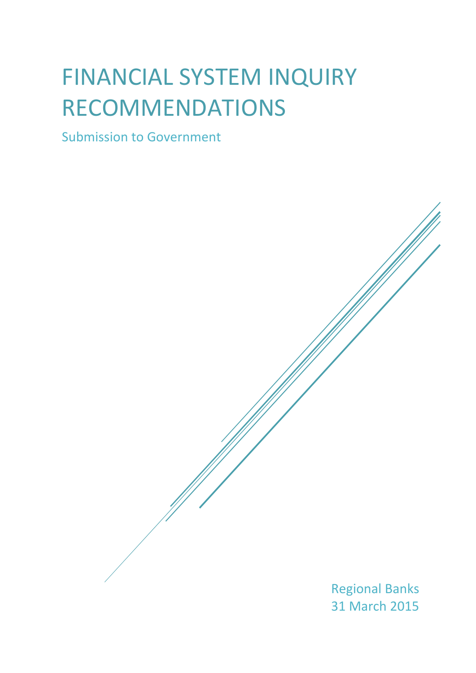# FINANCIAL SYSTEM INQUIRY RECOMMENDATIONS

Submission to Government

Regional Banks 31 March 2015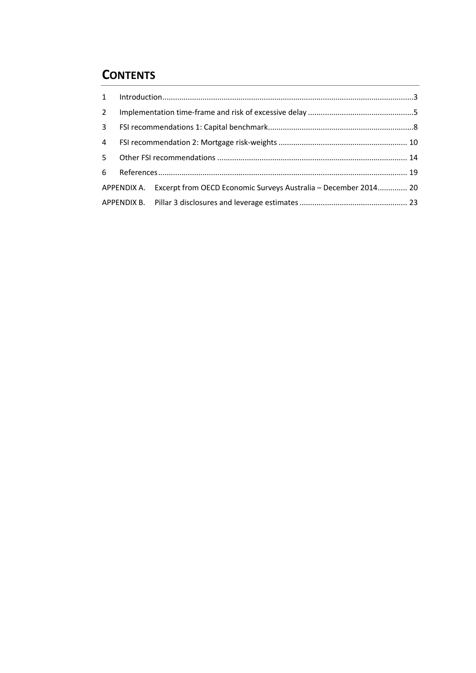# **CONTENTS**

|  | APPENDIX A. Excerpt from OECD Economic Surveys Australia - December 2014 20 |  |  |  |  |  |
|--|-----------------------------------------------------------------------------|--|--|--|--|--|
|  |                                                                             |  |  |  |  |  |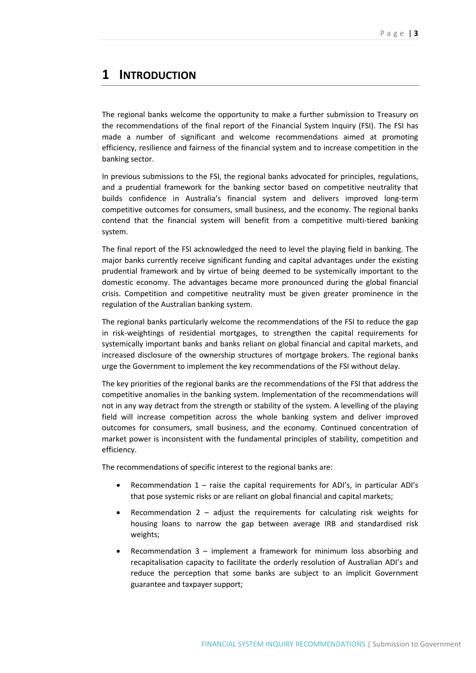### <span id="page-2-0"></span>**1 INTRODUCTION**

The regional banks welcome the opportunity to make a further submission to Treasury on the recommendations of the final report of the Financial System Inquiry (FSI). The FSI has made a number of significant and welcome recommendations aimed at promoting efficiency, resilience and fairness of the financial system and to increase competition in the banking sector.

In previous submissions to the FSI, the regional banks advocated for principles, regulations, and a prudential framework for the banking sector based on competitive neutrality that builds confidence in Australia's financial system and delivers improved long-term competitive outcomes for consumers, small business, and the economy. The regional banks contend that the financial system will benefit from a competitive multi-tiered banking system.

The final report of the FSI acknowledged the need to level the playing field in banking. The major banks currently receive significant funding and capital advantages under the existing prudential framework and by virtue of being deemed to be systemically important to the domestic economy. The advantages became more pronounced during the global financial crisis. Competition and competitive neutrality must be given greater prominence in the regulation of the Australian banking system.

The regional banks particularly welcome the recommendations of the FSI to reduce the gap in risk-weightings of residential mortgages, to strengthen the capital requirements for systemically important banks and banks reliant on global financial and capital markets, and increased disclosure of the ownership structures of mortgage brokers. The regional banks urge the Government to implement the key recommendations of the FSI without delay.

The key priorities of the regional banks are the recommendations of the FSI that address the competitive anomalies in the banking system. Implementation of the recommendations will not in any way detract from the strength or stability of the system. A levelling of the playing field will increase competition across the whole banking system and deliver improved outcomes for consumers, small business, and the economy. Continued concentration of market power is inconsistent with the fundamental principles of stability, competition and efficiency.

The recommendations of specific interest to the regional banks are:

- Recommendation 1 raise the capital requirements for ADI's, in particular ADI's that pose systemic risks or are reliant on global financial and capital markets;
- Recommendation  $2 -$  adjust the requirements for calculating risk weights for housing loans to narrow the gap between average IRB and standardised risk weights;
- <span id="page-2-1"></span>• Recommendation 3 – implement a framework for minimum loss absorbing and recapitalisation capacity to facilitate the orderly resolution of Australian ADI's and reduce the perception that some banks are subject to an implicit Government guarantee and taxpayer support;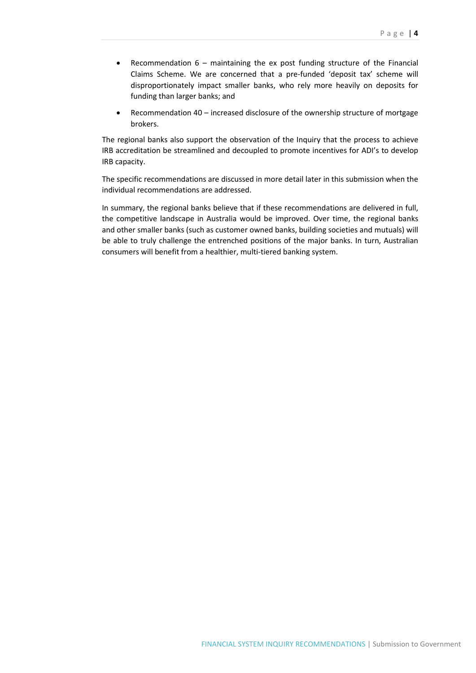- Recommendation 6 maintaining the ex post funding structure of the Financial Claims Scheme. We are concerned that a pre-funded 'deposit tax' scheme will disproportionately impact smaller banks, who rely more heavily on deposits for funding than larger banks; and
- Recommendation 40 increased disclosure of the ownership structure of mortgage brokers.

The regional banks also support the observation of the Inquiry that the process to achieve IRB accreditation be streamlined and decoupled to promote incentives for ADI's to develop IRB capacity.

The specific recommendations are discussed in more detail later in this submission when the individual recommendations are addressed.

In summary, the regional banks believe that if these recommendations are delivered in full, the competitive landscape in Australia would be improved. Over time, the regional banks and other smaller banks (such as customer owned banks, building societies and mutuals) will be able to truly challenge the entrenched positions of the major banks. In turn, Australian consumers will benefit from a healthier, multi-tiered banking system.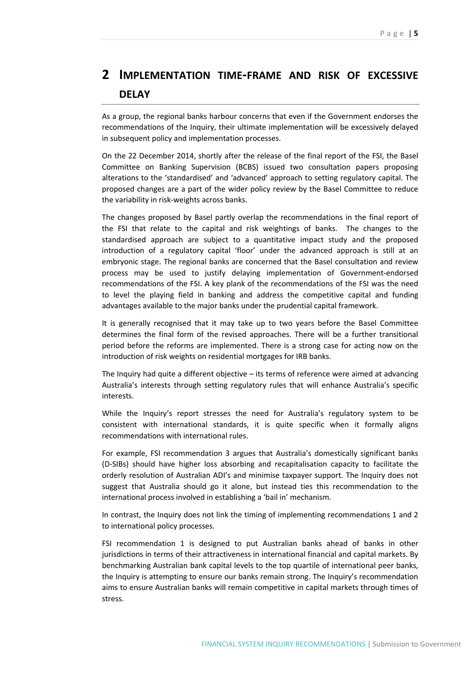# <span id="page-4-0"></span>**2 IMPLEMENTATION TIME-FRAME AND RISK OF EXCESSIVE DELAY**

As a group, the regional banks harbour concerns that even if the Government endorses the recommendations of the Inquiry, their ultimate implementation will be excessively delayed in subsequent policy and implementation processes.

On the 22 December 2014, shortly after the release of the final report of the FSI, the Basel Committee on Banking Supervision (BCBS) issued two consultation papers proposing alterations to the 'standardised' and 'advanced' approach to setting regulatory capital. The proposed changes are a part of the wider policy review by the Basel Committee to reduce the variability in risk-weights across banks.

The changes proposed by Basel partly overlap the recommendations in the final report of the FSI that relate to the capital and risk weightings of banks. The changes to the standardised approach are subject to a quantitative impact study and the proposed introduction of a regulatory capital 'floor' under the advanced approach is still at an embryonic stage. The regional banks are concerned that the Basel consultation and review process may be used to justify delaying implementation of Government-endorsed recommendations of the FSI. A key plank of the recommendations of the FSI was the need to level the playing field in banking and address the competitive capital and funding advantages available to the major banks under the prudential capital framework.

It is generally recognised that it may take up to two years before the Basel Committee determines the final form of the revised approaches. There will be a further transitional period before the reforms are implemented. There is a strong case for acting now on the introduction of risk weights on residential mortgages for IRB banks.

The Inquiry had quite a different objective – its terms of reference were aimed at advancing Australia's interests through setting regulatory rules that will enhance Australia's specific interests.

While the Inquiry's report stresses the need for Australia's regulatory system to be consistent with international standards, it is quite specific when it formally aligns recommendations with international rules.

For example, FSI recommendation 3 argues that Australia's domestically significant banks (D-SIBs) should have higher loss absorbing and recapitalisation capacity to facilitate the orderly resolution of Australian ADI's and minimise taxpayer support. The Inquiry does not suggest that Australia should go it alone, but instead ties this recommendation to the international process involved in establishing a 'bail in' mechanism.

In contrast, the Inquiry does not link the timing of implementing recommendations 1 and 2 to international policy processes.

FSI recommendation 1 is designed to put Australian banks ahead of banks in other jurisdictions in terms of their attractiveness in international financial and capital markets. By benchmarking Australian bank capital levels to the top quartile of international peer banks, the Inquiry is attempting to ensure our banks remain strong. The Inquiry's recommendation aims to ensure Australian banks will remain competitive in capital markets through times of stress.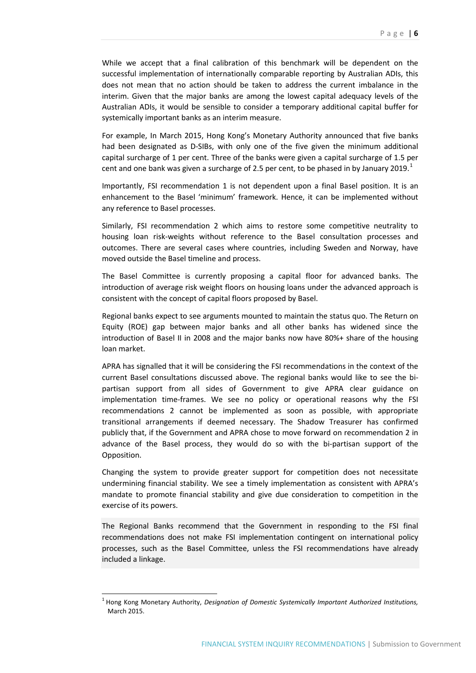While we accept that a final calibration of this benchmark will be dependent on the successful implementation of internationally comparable reporting by Australian ADIs, this does not mean that no action should be taken to address the current imbalance in the interim. Given that the major banks are among the lowest capital adequacy levels of the Australian ADIs, it would be sensible to consider a temporary additional capital buffer for systemically important banks as an interim measure.

For example, In March 2015, Hong Kong's Monetary Authority announced that five banks had been designated as D-SIBs, with only one of the five given the minimum additional capital surcharge of 1 per cent. Three of the banks were given a capital surcharge of 1.5 per cent and one bank was given a surcharge of 2.5 per cent, to be phased in by January 20[1](#page-2-1)9.<sup>1</sup>

Importantly, FSI recommendation 1 is not dependent upon a final Basel position. It is an enhancement to the Basel 'minimum' framework. Hence, it can be implemented without any reference to Basel processes.

Similarly, FSI recommendation 2 which aims to restore some competitive neutrality to housing loan risk-weights without reference to the Basel consultation processes and outcomes. There are several cases where countries, including Sweden and Norway, have moved outside the Basel timeline and process.

The Basel Committee is currently proposing a capital floor for advanced banks. The introduction of average risk weight floors on housing loans under the advanced approach is consistent with the concept of capital floors proposed by Basel.

Regional banks expect to see arguments mounted to maintain the status quo. The Return on Equity (ROE) gap between major banks and all other banks has widened since the introduction of Basel II in 2008 and the major banks now have 80%+ share of the housing loan market.

APRA has signalled that it will be considering the FSI recommendations in the context of the current Basel consultations discussed above. The regional banks would like to see the bipartisan support from all sides of Government to give APRA clear guidance on implementation time-frames. We see no policy or operational reasons why the FSI recommendations 2 cannot be implemented as soon as possible, with appropriate transitional arrangements if deemed necessary. The Shadow Treasurer has confirmed publicly that, if the Government and APRA chose to move forward on recommendation 2 in advance of the Basel process, they would do so with the bi-partisan support of the Opposition.

Changing the system to provide greater support for competition does not necessitate undermining financial stability. We see a timely implementation as consistent with APRA's mandate to promote financial stability and give due consideration to competition in the exercise of its powers.

The Regional Banks recommend that the Government in responding to the FSI final recommendations does not make FSI implementation contingent on international policy processes, such as the Basel Committee, unless the FSI recommendations have already included a linkage.

<span id="page-5-0"></span> <sup>1</sup> Hong Kong Monetary Authority, *Designation of Domestic Systemically Important Authorized Institutions,*  March 2015.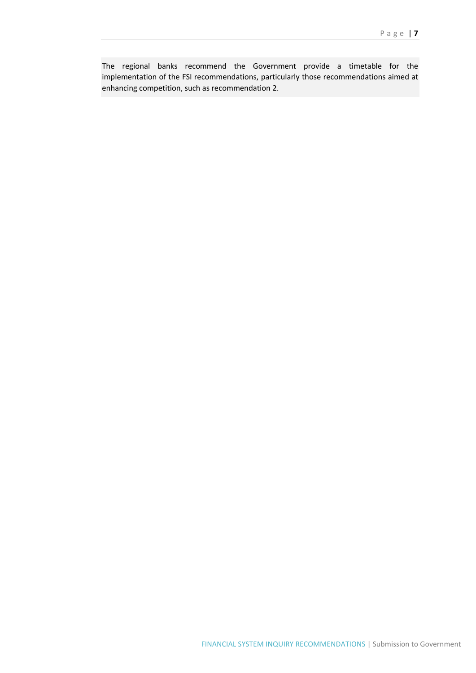The regional banks recommend the Government provide a timetable for the implementation of the FSI recommendations, particularly those recommendations aimed at enhancing competition, such as recommendation 2.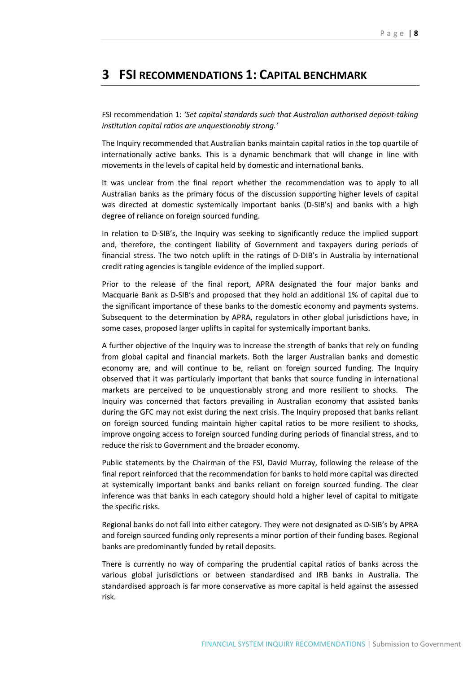## <span id="page-7-0"></span>**3 FSI RECOMMENDATIONS 1: CAPITAL BENCHMARK**

FSI recommendation 1: *'Set capital standards such that Australian authorised deposit-taking institution capital ratios are unquestionably strong.'*

The Inquiry recommended that Australian banks maintain capital ratios in the top quartile of internationally active banks. This is a dynamic benchmark that will change in line with movements in the levels of capital held by domestic and international banks.

It was unclear from the final report whether the recommendation was to apply to all Australian banks as the primary focus of the discussion supporting higher levels of capital was directed at domestic systemically important banks (D-SIB's) and banks with a high degree of reliance on foreign sourced funding.

In relation to D-SIB's, the Inquiry was seeking to significantly reduce the implied support and, therefore, the contingent liability of Government and taxpayers during periods of financial stress. The two notch uplift in the ratings of D-DIB's in Australia by international credit rating agencies is tangible evidence of the implied support.

Prior to the release of the final report, APRA designated the four major banks and Macquarie Bank as D-SIB's and proposed that they hold an additional 1% of capital due to the significant importance of these banks to the domestic economy and payments systems. Subsequent to the determination by APRA, regulators in other global jurisdictions have, in some cases, proposed larger uplifts in capital for systemically important banks.

A further objective of the Inquiry was to increase the strength of banks that rely on funding from global capital and financial markets. Both the larger Australian banks and domestic economy are, and will continue to be, reliant on foreign sourced funding. The Inquiry observed that it was particularly important that banks that source funding in international markets are perceived to be unquestionably strong and more resilient to shocks. The Inquiry was concerned that factors prevailing in Australian economy that assisted banks during the GFC may not exist during the next crisis. The Inquiry proposed that banks reliant on foreign sourced funding maintain higher capital ratios to be more resilient to shocks, improve ongoing access to foreign sourced funding during periods of financial stress, and to reduce the risk to Government and the broader economy.

Public statements by the Chairman of the FSI, David Murray, following the release of the final report reinforced that the recommendation for banks to hold more capital was directed at systemically important banks and banks reliant on foreign sourced funding. The clear inference was that banks in each category should hold a higher level of capital to mitigate the specific risks.

Regional banks do not fall into either category. They were not designated as D-SIB's by APRA and foreign sourced funding only represents a minor portion of their funding bases. Regional banks are predominantly funded by retail deposits.

There is currently no way of comparing the prudential capital ratios of banks across the various global jurisdictions or between standardised and IRB banks in Australia. The standardised approach is far more conservative as more capital is held against the assessed risk.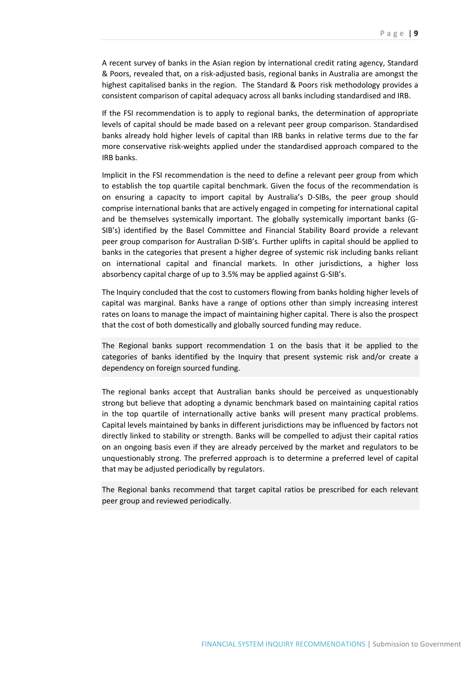A recent survey of banks in the Asian region by international credit rating agency, Standard & Poors, revealed that, on a risk-adjusted basis, regional banks in Australia are amongst the highest capitalised banks in the region. The Standard & Poors risk methodology provides a consistent comparison of capital adequacy across all banks including standardised and IRB.

If the FSI recommendation is to apply to regional banks, the determination of appropriate levels of capital should be made based on a relevant peer group comparison. Standardised banks already hold higher levels of capital than IRB banks in relative terms due to the far more conservative risk-weights applied under the standardised approach compared to the IRB banks.

Implicit in the FSI recommendation is the need to define a relevant peer group from which to establish the top quartile capital benchmark. Given the focus of the recommendation is on ensuring a capacity to import capital by Australia's D-SIBs, the peer group should comprise international banks that are actively engaged in competing for international capital and be themselves systemically important. The globally systemically important banks (G-SIB's) identified by the Basel Committee and Financial Stability Board provide a relevant peer group comparison for Australian D-SIB's. Further uplifts in capital should be applied to banks in the categories that present a higher degree of systemic risk including banks reliant on international capital and financial markets. In other jurisdictions, a higher loss absorbency capital charge of up to 3.5% may be applied against G-SIB's.

The Inquiry concluded that the cost to customers flowing from banks holding higher levels of capital was marginal. Banks have a range of options other than simply increasing interest rates on loans to manage the impact of maintaining higher capital. There is also the prospect that the cost of both domestically and globally sourced funding may reduce.

The Regional banks support recommendation 1 on the basis that it be applied to the categories of banks identified by the Inquiry that present systemic risk and/or create a dependency on foreign sourced funding.

The regional banks accept that Australian banks should be perceived as unquestionably strong but believe that adopting a dynamic benchmark based on maintaining capital ratios in the top quartile of internationally active banks will present many practical problems. Capital levels maintained by banks in different jurisdictions may be influenced by factors not directly linked to stability or strength. Banks will be compelled to adjust their capital ratios on an ongoing basis even if they are already perceived by the market and regulators to be unquestionably strong. The preferred approach is to determine a preferred level of capital that may be adjusted periodically by regulators.

The Regional banks recommend that target capital ratios be prescribed for each relevant peer group and reviewed periodically.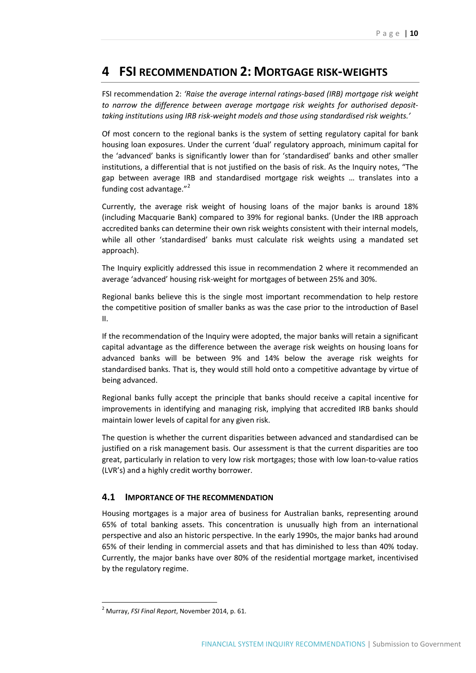# <span id="page-9-0"></span>**4 FSI RECOMMENDATION 2: MORTGAGE RISK-WEIGHTS**

FSI recommendation 2: *'Raise the average internal ratings-based (IRB) mortgage risk weight to narrow the difference between average mortgage risk weights for authorised deposittaking institutions using IRB risk-weight models and those using standardised risk weights.'*

Of most concern to the regional banks is the system of setting regulatory capital for bank housing loan exposures. Under the current 'dual' regulatory approach, minimum capital for the 'advanced' banks is significantly lower than for 'standardised' banks and other smaller institutions, a differential that is not justified on the basis of risk. As the Inquiry notes, "The gap between average IRB and standardised mortgage risk weights … translates into a funding cost advantage."<sup>[2](#page-5-0)</sup>

Currently, the average risk weight of housing loans of the major banks is around 18% (including Macquarie Bank) compared to 39% for regional banks. (Under the IRB approach accredited banks can determine their own risk weights consistent with their internal models, while all other 'standardised' banks must calculate risk weights using a mandated set approach).

The Inquiry explicitly addressed this issue in recommendation 2 where it recommended an average 'advanced' housing risk-weight for mortgages of between 25% and 30%.

Regional banks believe this is the single most important recommendation to help restore the competitive position of smaller banks as was the case prior to the introduction of Basel II.

If the recommendation of the Inquiry were adopted, the major banks will retain a significant capital advantage as the difference between the average risk weights on housing loans for advanced banks will be between 9% and 14% below the average risk weights for standardised banks. That is, they would still hold onto a competitive advantage by virtue of being advanced.

Regional banks fully accept the principle that banks should receive a capital incentive for improvements in identifying and managing risk, implying that accredited IRB banks should maintain lower levels of capital for any given risk.

The question is whether the current disparities between advanced and standardised can be justified on a risk management basis. Our assessment is that the current disparities are too great, particularly in relation to very low risk mortgages; those with low loan-to-value ratios (LVR's) and a highly credit worthy borrower.

#### **4.1 IMPORTANCE OF THE RECOMMENDATION**

Housing mortgages is a major area of business for Australian banks, representing around 65% of total banking assets. This concentration is unusually high from an international perspective and also an historic perspective. In the early 1990s, the major banks had around 65% of their lending in commercial assets and that has diminished to less than 40% today. Currently, the major banks have over 80% of the residential mortgage market, incentivised by the regulatory regime.

<span id="page-9-1"></span> <sup>2</sup> Murray, *FSI Final Report*, November 2014, p. 61.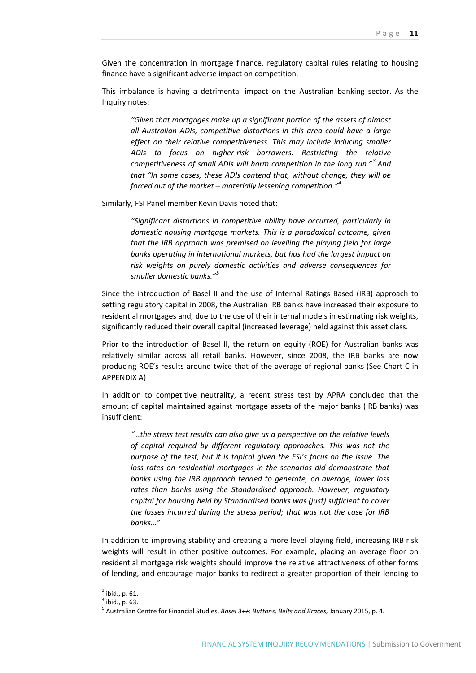Given the concentration in mortgage finance, regulatory capital rules relating to housing finance have a significant adverse impact on competition.

This imbalance is having a detrimental impact on the Australian banking sector. As the Inquiry notes:

*"Given that mortgages make up a significant portion of the assets of almost all Australian ADIs, competitive distortions in this area could have a large effect on their relative competitiveness. This may include inducing smaller ADIs to focus on higher-risk borrowers. Restricting the relative competitiveness of small ADIs will harm competition in the long run."[3](#page-9-1) And that "In some cases, these ADIs contend that, without change, they will be forced out of the market – materially lessening competition."[4](#page-10-0)*

Similarly, FSI Panel member Kevin Davis noted that:

*"Significant distortions in competitive ability have occurred, particularly in domestic housing mortgage markets. This is a paradoxical outcome, given that the IRB approach was premised on levelling the playing field for large banks operating in international markets, but has had the largest impact on risk weights on purely domestic activities and adverse consequences for smaller domestic banks."[5](#page-10-1)*

Since the introduction of Basel II and the use of Internal Ratings Based (IRB) approach to setting regulatory capital in 2008, the Australian IRB banks have increased their exposure to residential mortgages and, due to the use of their internal models in estimating risk weights, significantly reduced their overall capital (increased leverage) held against this asset class.

Prior to the introduction of Basel II, the return on equity (ROE) for Australian banks was relatively similar across all retail banks. However, since 2008, the IRB banks are now producing ROE's results around twice that of the average of regional banks (See Chart C in [APPENDIX A\)](#page-19-0)

In addition to competitive neutrality, a recent stress test by APRA concluded that the amount of capital maintained against mortgage assets of the major banks (IRB banks) was insufficient:

*"…the stress test results can also give us a perspective on the relative levels of capital required by different regulatory approaches. This was not the purpose of the test, but it is topical given the FSI's focus on the issue. The loss rates on residential mortgages in the scenarios did demonstrate that banks using the IRB approach tended to generate, on average, lower loss rates than banks using the Standardised approach. However, regulatory capital for housing held by Standardised banks was (just) sufficient to cover the losses incurred during the stress period; that was not the case for IRB banks…"*

In addition to improving stability and creating a more level playing field, increasing IRB risk weights will result in other positive outcomes. For example, placing an average floor on residential mortgage risk weights should improve the relative attractiveness of other forms of lending, and encourage major banks to redirect a greater proportion of their lending to

 $3$  ibid., p. 61.

<span id="page-10-1"></span><span id="page-10-0"></span> $<sup>4</sup>$  ibid., p. 63.</sup>

<sup>5</sup> Australian Centre for Financial Studies, *Basel 3++: Buttons, Belts and Braces,* January 2015, p. 4.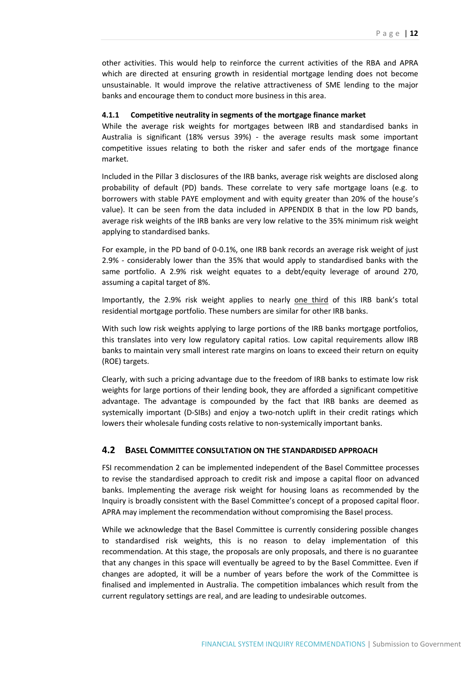other activities. This would help to reinforce the current activities of the RBA and APRA which are directed at ensuring growth in residential mortgage lending does not become unsustainable. It would improve the relative attractiveness of SME lending to the major banks and encourage them to conduct more business in this area.

#### **4.1.1 Competitive neutrality in segments of the mortgage finance market**

While the average risk weights for mortgages between IRB and standardised banks in Australia is significant (18% versus 39%) - the average results mask some important competitive issues relating to both the risker and safer ends of the mortgage finance market.

Included in the Pillar 3 disclosures of the IRB banks, average risk weights are disclosed along probability of default (PD) bands. These correlate to very safe mortgage loans (e.g. to borrowers with stable PAYE employment and with equity greater than 20% of the house's value). It can be seen from the data included in [APPENDIX B](#page-22-0) that in the low PD bands, average risk weights of the IRB banks are very low relative to the 35% minimum risk weight applying to standardised banks.

For example, in the PD band of 0-0.1%, one IRB bank records an average risk weight of just 2.9% - considerably lower than the 35% that would apply to standardised banks with the same portfolio. A 2.9% risk weight equates to a debt/equity leverage of around 270, assuming a capital target of 8%.

Importantly, the 2.9% risk weight applies to nearly one third of this IRB bank's total residential mortgage portfolio. These numbers are similar for other IRB banks.

With such low risk weights applying to large portions of the IRB banks mortgage portfolios, this translates into very low regulatory capital ratios. Low capital requirements allow IRB banks to maintain very small interest rate margins on loans to exceed their return on equity (ROE) targets.

Clearly, with such a pricing advantage due to the freedom of IRB banks to estimate low risk weights for large portions of their lending book, they are afforded a significant competitive advantage. The advantage is compounded by the fact that IRB banks are deemed as systemically important (D-SIBs) and enjoy a two-notch uplift in their credit ratings which lowers their wholesale funding costs relative to non-systemically important banks.

#### **4.2 BASEL COMMITTEE CONSULTATION ON THE STANDARDISED APPROACH**

FSI recommendation 2 can be implemented independent of the Basel Committee processes to revise the standardised approach to credit risk and impose a capital floor on advanced banks. Implementing the average risk weight for housing loans as recommended by the Inquiry is broadly consistent with the Basel Committee's concept of a proposed capital floor. APRA may implement the recommendation without compromising the Basel process.

While we acknowledge that the Basel Committee is currently considering possible changes to standardised risk weights, this is no reason to delay implementation of this recommendation. At this stage, the proposals are only proposals, and there is no guarantee that any changes in this space will eventually be agreed to by the Basel Committee. Even if changes are adopted, it will be a number of years before the work of the Committee is finalised and implemented in Australia. The competition imbalances which result from the current regulatory settings are real, and are leading to undesirable outcomes.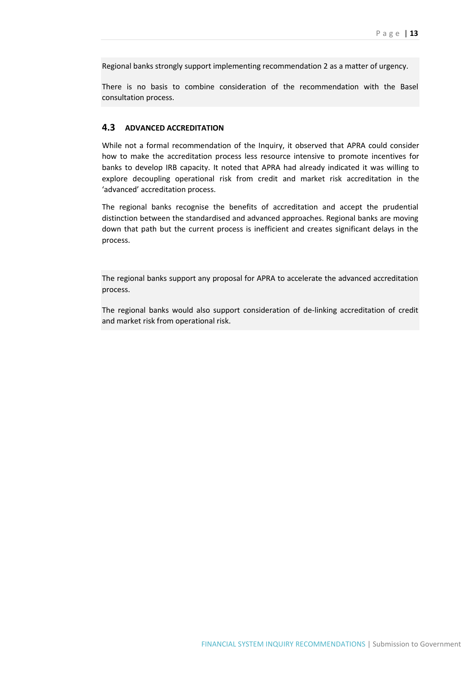Regional banks strongly support implementing recommendation 2 as a matter of urgency.

There is no basis to combine consideration of the recommendation with the Basel consultation process.

#### **4.3 ADVANCED ACCREDITATION**

While not a formal recommendation of the Inquiry, it observed that APRA could consider how to make the accreditation process less resource intensive to promote incentives for banks to develop IRB capacity. It noted that APRA had already indicated it was willing to explore decoupling operational risk from credit and market risk accreditation in the 'advanced' accreditation process.

The regional banks recognise the benefits of accreditation and accept the prudential distinction between the standardised and advanced approaches. Regional banks are moving down that path but the current process is inefficient and creates significant delays in the process.

The regional banks support any proposal for APRA to accelerate the advanced accreditation process.

The regional banks would also support consideration of de-linking accreditation of credit and market risk from operational risk.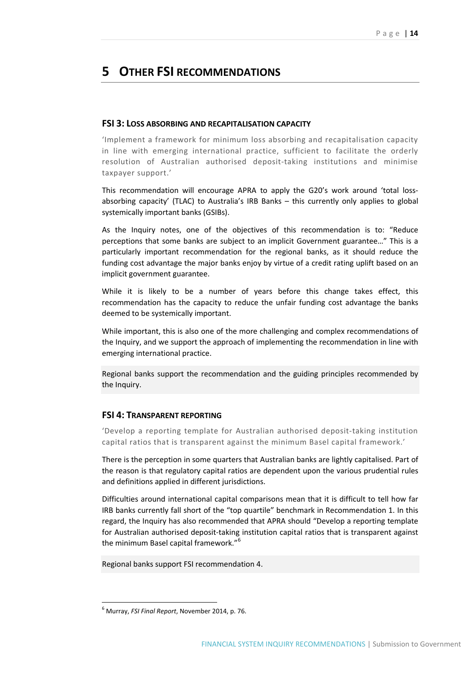## <span id="page-13-0"></span>**5 OTHER FSI RECOMMENDATIONS**

#### **FSI 3: LOSS ABSORBING AND RECAPITALISATION CAPACITY**

'Implement a framework for minimum loss absorbing and recapitalisation capacity in line with emerging international practice, sufficient to facilitate the orderly resolution of Australian authorised deposit-taking institutions and minimise taxpayer support.'

This recommendation will encourage APRA to apply the G20's work around 'total lossabsorbing capacity' (TLAC) to Australia's IRB Banks – this currently only applies to global systemically important banks (GSIBs).

As the Inquiry notes, one of the objectives of this recommendation is to: "Reduce perceptions that some banks are subject to an implicit Government guarantee…" This is a particularly important recommendation for the regional banks, as it should reduce the funding cost advantage the major banks enjoy by virtue of a credit rating uplift based on an implicit government guarantee.

While it is likely to be a number of years before this change takes effect, this recommendation has the capacity to reduce the unfair funding cost advantage the banks deemed to be systemically important.

While important, this is also one of the more challenging and complex recommendations of the Inquiry, and we support the approach of implementing the recommendation in line with emerging international practice.

Regional banks support the recommendation and the guiding principles recommended by the Inquiry.

#### **FSI 4: TRANSPARENT REPORTING**

'Develop a reporting template for Australian authorised deposit-taking institution capital ratios that is transparent against the minimum Basel capital framework.'

There is the perception in some quarters that Australian banks are lightly capitalised. Part of the reason is that regulatory capital ratios are dependent upon the various prudential rules and definitions applied in different jurisdictions.

Difficulties around international capital comparisons mean that it is difficult to tell how far IRB banks currently fall short of the "top quartile" benchmark in Recommendation 1. In this regard, the Inquiry has also recommended that APRA should "Develop a reporting template for Australian authorised deposit-taking institution capital ratios that is transparent against the minimum Basel capital framework."[6](#page-10-1)

Regional banks support FSI recommendation 4.

<span id="page-13-1"></span> <sup>6</sup> Murray, *FSI Final Report*, November 2014, p. 76.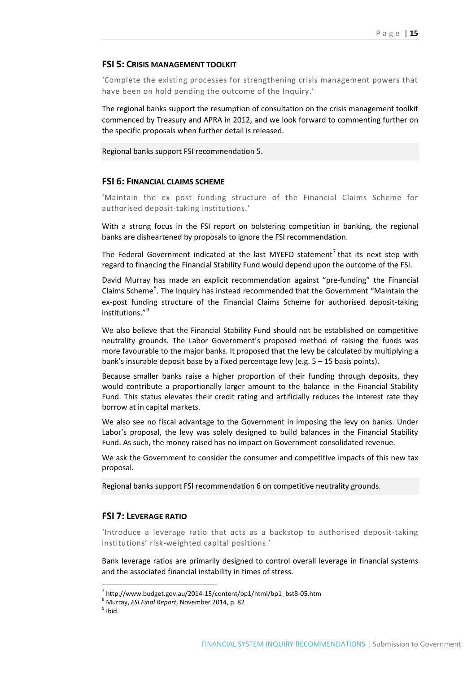#### **FSI 5: CRISIS MANAGEMENT TOOLKIT**

'Complete the existing processes for strengthening crisis management powers that have been on hold pending the outcome of the Inquiry.'

The regional banks support the resumption of consultation on the crisis management toolkit commenced by Treasury and APRA in 2012, and we look forward to commenting further on the specific proposals when further detail is released.

Regional banks support FSI recommendation 5.

#### **FSI 6: FINANCIAL CLAIMS SCHEME**

'Maintain the ex post funding structure of the Financial Claims Scheme for authorised deposit-taking institutions.'

With a strong focus in the FSI report on bolstering competition in banking, the regional banks are disheartened by proposals to ignore the FSI recommendation.

The Federal Government indicated at the last MYEFO statement<sup>[7](#page-13-1)</sup> that its next step with regard to financing the Financial Stability Fund would depend upon the outcome of the FSI.

David Murray has made an explicit recommendation against "pre-funding" the Financial Claims Scheme<sup>[8](#page-14-0)</sup>. The Inquiry has instead recommended that the Government "Maintain the ex-post funding structure of the Financial Claims Scheme for authorised deposit-taking institutions."[9](#page-14-1)

We also believe that the Financial Stability Fund should not be established on competitive neutrality grounds. The Labor Government's proposed method of raising the funds was more favourable to the major banks. It proposed that the levy be calculated by multiplying a bank's insurable deposit base by a fixed percentage levy (e.g. 5 – 15 basis points).

Because smaller banks raise a higher proportion of their funding through deposits, they would contribute a proportionally larger amount to the balance in the Financial Stability Fund. This status elevates their credit rating and artificially reduces the interest rate they borrow at in capital markets.

We also see no fiscal advantage to the Government in imposing the levy on banks. Under Labor's proposal, the levy was solely designed to build balances in the Financial Stability Fund. As such, the money raised has no impact on Government consolidated revenue.

We ask the Government to consider the consumer and competitive impacts of this new tax proposal.

Regional banks support FSI recommendation 6 on competitive neutrality grounds.

#### **FSI 7: LEVERAGE RATIO**

'Introduce a leverage ratio that acts as a backstop to authorised deposit-taking institutions' risk-weighted capital positions.'

Bank leverage ratios are primarily designed to control overall leverage in financial systems and the associated financial instability in times of stress.

<span id="page-14-2"></span><span id="page-14-0"></span><sup>&</sup>lt;sup>7</sup> http://www.budget.gov.au/2014-15/content/bp1/html/bp1\_bst8-05.htm  $^8$  Murray, *FSI Final Report*, November 2014, p. 82 9 Ibid.

<span id="page-14-1"></span>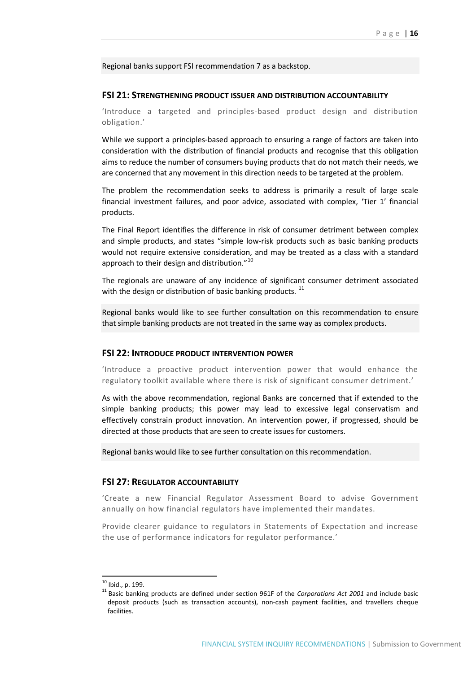Regional banks support FSI recommendation 7 as a backstop.

#### **FSI 21: STRENGTHENING PRODUCT ISSUER AND DISTRIBUTION ACCOUNTABILITY**

'Introduce a targeted and principles-based product design and distribution obligation.'

While we support a principles-based approach to ensuring a range of factors are taken into consideration with the distribution of financial products and recognise that this obligation aims to reduce the number of consumers buying products that do not match their needs, we are concerned that any movement in this direction needs to be targeted at the problem.

The problem the recommendation seeks to address is primarily a result of large scale financial investment failures, and poor advice, associated with complex, 'Tier 1' financial products.

The Final Report identifies the difference in risk of consumer detriment between complex and simple products, and states "simple low-risk products such as basic banking products would not require extensive consideration, and may be treated as a class with a standard approach to their design and distribution."<sup>[10](#page-14-2)</sup>

The regionals are unaware of any incidence of significant consumer detriment associated with the design or distribution of basic banking products.<sup>[11](#page-15-0)</sup>

Regional banks would like to see further consultation on this recommendation to ensure that simple banking products are not treated in the same way as complex products.

#### **FSI 22: INTRODUCE PRODUCT INTERVENTION POWER**

'Introduce a proactive product intervention power that would enhance the regulatory toolkit available where there is risk of significant consumer detriment.'

As with the above recommendation, regional Banks are concerned that if extended to the simple banking products; this power may lead to excessive legal conservatism and effectively constrain product innovation. An intervention power, if progressed, should be directed at those products that are seen to create issues for customers.

Regional banks would like to see further consultation on this recommendation.

#### **FSI 27: REGULATOR ACCOUNTABILITY**

'Create a new Financial Regulator Assessment Board to advise Government annually on how financial regulators have implemented their mandates.

Provide clearer guidance to regulators in Statements of Expectation and increase the use of performance indicators for regulator performance.'

<span id="page-15-1"></span><span id="page-15-0"></span><sup>&</sup>lt;sup>10</sup> Ibid., p. 199.<br><sup>11</sup> Basic banking products are defined under section 961F of the *Corporations Act 2001* and include basic deposit products (such as transaction accounts), non-cash payment facilities, and travellers cheque facilities.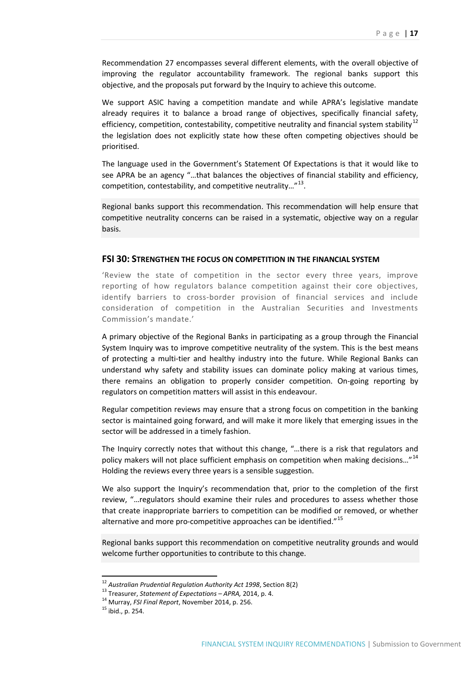Recommendation 27 encompasses several different elements, with the overall objective of improving the regulator accountability framework. The regional banks support this objective, and the proposals put forward by the Inquiry to achieve this outcome.

We support ASIC having a competition mandate and while APRA's legislative mandate already requires it to balance a broad range of objectives, specifically financial safety, efficiency, competition, contestability, competitive neutrality and financial system stability<sup>[12](#page-15-1)</sup> the legislation does not explicitly state how these often competing objectives should be prioritised.

The language used in the Government's Statement Of Expectations is that it would like to see APRA be an agency "…that balances the objectives of financial stability and efficiency, competition, contestability, and competitive neutrality…"[13.](#page-16-0)

Regional banks support this recommendation. This recommendation will help ensure that competitive neutrality concerns can be raised in a systematic, objective way on a regular basis.

#### **FSI 30: STRENGTHEN THE FOCUS ON COMPETITION IN THE FINANCIAL SYSTEM**

'Review the state of competition in the sector every three years, improve reporting of how regulators balance competition against their core objectives, identify barriers to cross-border provision of financial services and include consideration of competition in the Australian Securities and Investments Commission's mandate.'

A primary objective of the Regional Banks in participating as a group through the Financial System Inquiry was to improve competitive neutrality of the system. This is the best means of protecting a multi-tier and healthy industry into the future. While Regional Banks can understand why safety and stability issues can dominate policy making at various times, there remains an obligation to properly consider competition. On-going reporting by regulators on competition matters will assist in this endeavour.

Regular competition reviews may ensure that a strong focus on competition in the banking sector is maintained going forward, and will make it more likely that emerging issues in the sector will be addressed in a timely fashion.

The Inquiry correctly notes that without this change, "…there is a risk that regulators and policy makers will not place sufficient emphasis on competition when making decisions..."<sup>[14](#page-16-1)</sup> Holding the reviews every three years is a sensible suggestion.

We also support the Inquiry's recommendation that, prior to the completion of the first review, "…regulators should examine their rules and procedures to assess whether those that create inappropriate barriers to competition can be modified or removed, or whether alternative and more pro-competitive approaches can be identified."<sup>[15](#page-16-2)</sup>

Regional banks support this recommendation on competitive neutrality grounds and would welcome further opportunities to contribute to this change.

<span id="page-16-0"></span><sup>&</sup>lt;sup>12</sup> Australian Prudential Regulation Authority Act 1998, Section 8(2)<br><sup>13</sup> Treasurer, Statement of Expectations – APRA, 2014, p. 4.<br><sup>14</sup> Murray, FSI Final Report, November 2014, p. 256.<br><sup>15</sup> ibid., p. 254.

<span id="page-16-1"></span>

<span id="page-16-2"></span>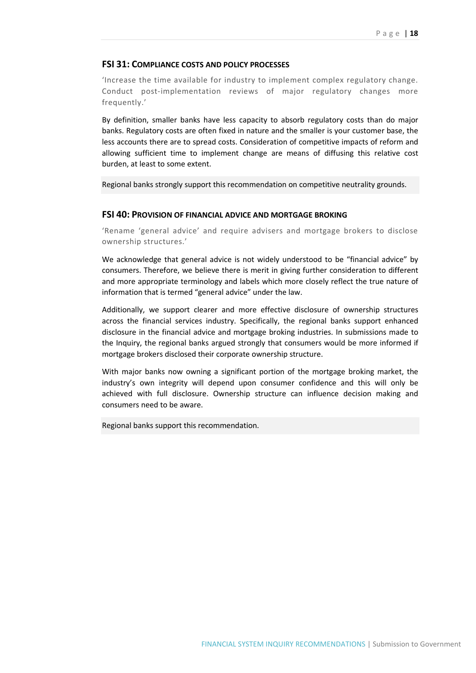#### **FSI 31: COMPLIANCE COSTS AND POLICY PROCESSES**

'Increase the time available for industry to implement complex regulatory change. Conduct post-implementation reviews of major regulatory changes more frequently.'

By definition, smaller banks have less capacity to absorb regulatory costs than do major banks. Regulatory costs are often fixed in nature and the smaller is your customer base, the less accounts there are to spread costs. Consideration of competitive impacts of reform and allowing sufficient time to implement change are means of diffusing this relative cost burden, at least to some extent.

Regional banks strongly support this recommendation on competitive neutrality grounds.

#### **FSI 40: PROVISION OF FINANCIAL ADVICE AND MORTGAGE BROKING**

'Rename 'general advice' and require advisers and mortgage brokers to disclose ownership structures.'

We acknowledge that general advice is not widely understood to be "financial advice" by consumers. Therefore, we believe there is merit in giving further consideration to different and more appropriate terminology and labels which more closely reflect the true nature of information that is termed "general advice" under the law.

Additionally, we support clearer and more effective disclosure of ownership structures across the financial services industry. Specifically, the regional banks support enhanced disclosure in the financial advice and mortgage broking industries. In submissions made to the Inquiry, the regional banks argued strongly that consumers would be more informed if mortgage brokers disclosed their corporate ownership structure.

With major banks now owning a significant portion of the mortgage broking market, the industry's own integrity will depend upon consumer confidence and this will only be achieved with full disclosure. Ownership structure can influence decision making and consumers need to be aware.

Regional banks support this recommendation.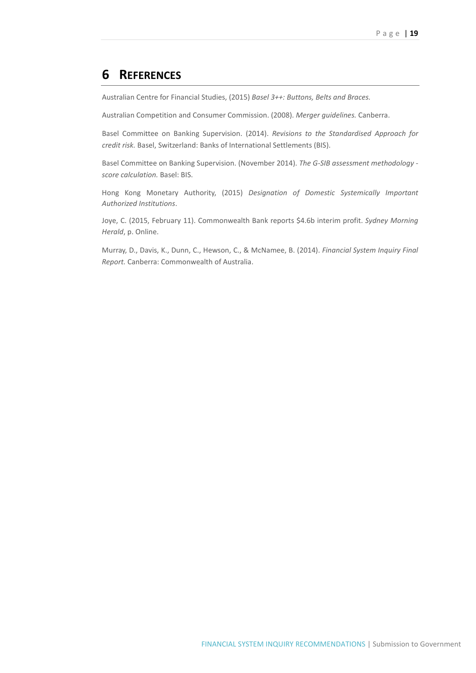### <span id="page-18-0"></span>**6 REFERENCES**

Australian Centre for Financial Studies, (2015) *Basel 3++: Buttons, Belts and Braces.*

Australian Competition and Consumer Commission. (2008). *Merger guidelines.* Canberra.

Basel Committee on Banking Supervision. (2014). *Revisions to the Standardised Approach for credit risk.* Basel, Switzerland: Banks of International Settlements (BIS).

Basel Committee on Banking Supervision. (November 2014). *The G-SIB assessment methodology score calculation.* Basel: BIS.

Hong Kong Monetary Authority, (2015) *Designation of Domestic Systemically Important Authorized Institutions*.

Joye, C. (2015, February 11). Commonwealth Bank reports \$4.6b interim profit. *Sydney Morning Herald*, p. Online.

Murray, D., Davis, K., Dunn, C., Hewson, C., & McNamee, B. (2014). *Financial System Inquiry Final Report.* Canberra: Commonwealth of Australia.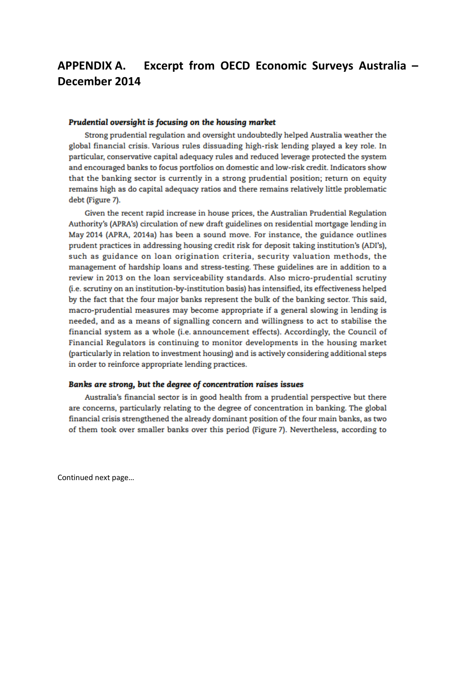# <span id="page-19-0"></span>**APPENDIX A. Excerpt from OECD Economic Surveys Australia – December 2014**

#### Prudential oversight is focusing on the housing market

Strong prudential regulation and oversight undoubtedly helped Australia weather the global financial crisis. Various rules dissuading high-risk lending played a key role. In particular, conservative capital adequacy rules and reduced leverage protected the system and encouraged banks to focus portfolios on domestic and low-risk credit. Indicators show that the banking sector is currently in a strong prudential position; return on equity remains high as do capital adequacy ratios and there remains relatively little problematic debt (Figure 7).

Given the recent rapid increase in house prices, the Australian Prudential Regulation Authority's (APRA's) circulation of new draft guidelines on residential mortgage lending in May 2014 (APRA, 2014a) has been a sound move. For instance, the guidance outlines prudent practices in addressing housing credit risk for deposit taking institution's (ADI's), such as guidance on loan origination criteria, security valuation methods, the management of hardship loans and stress-testing. These guidelines are in addition to a review in 2013 on the loan serviceability standards. Also micro-prudential scrutiny (i.e. scrutiny on an institution-by-institution basis) has intensified, its effectiveness helped by the fact that the four major banks represent the bulk of the banking sector. This said, macro-prudential measures may become appropriate if a general slowing in lending is needed, and as a means of signalling concern and willingness to act to stabilise the financial system as a whole (i.e. announcement effects). Accordingly, the Council of Financial Regulators is continuing to monitor developments in the housing market (particularly in relation to investment housing) and is actively considering additional steps in order to reinforce appropriate lending practices.

#### Banks are strong, but the degree of concentration raises issues

Australia's financial sector is in good health from a prudential perspective but there are concerns, particularly relating to the degree of concentration in banking. The global financial crisis strengthened the already dominant position of the four main banks, as two of them took over smaller banks over this period (Figure 7). Nevertheless, according to

Continued next page…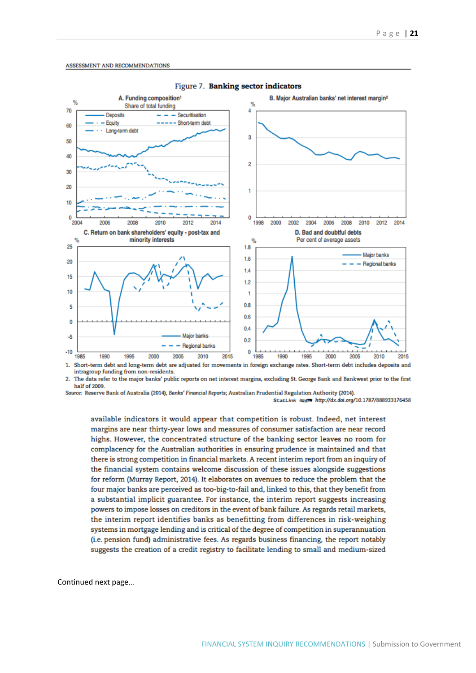ASSESSMENT AND RECOMMENDATIONS



Figure 7. Banking sector indicators

1. Short-term debt and long-term debt are adjusted for movements in foreign exchange rates. Short-term debt includes deposits and intragroup funding from non-residents.

 $2.$ The data refer to the major banks' public reports on net interest margins, excluding St. George Bank and Bankwest prior to the first half of 2009

Source: Reserve Bank of Australia (2014), Banks' Financial Reports; Australian Prudential Regulation Authority (2014). StatLink Nusle http://dx.doi.org/10.1787/888933176458

available indicators it would appear that competition is robust. Indeed, net interest margins are near thirty-year lows and measures of consumer satisfaction are near record highs. However, the concentrated structure of the banking sector leaves no room for complacency for the Australian authorities in ensuring prudence is maintained and that there is strong competition in financial markets. A recent interim report from an inquiry of the financial system contains welcome discussion of these issues alongside suggestions for reform (Murray Report, 2014). It elaborates on avenues to reduce the problem that the four major banks are perceived as too-big-to-fail and, linked to this, that they benefit from a substantial implicit guarantee. For instance, the interim report suggests increasing powers to impose losses on creditors in the event of bank failure. As regards retail markets, the interim report identifies banks as benefitting from differences in risk-weighing systems in mortgage lending and is critical of the degree of competition in superannuation (i.e. pension fund) administrative fees. As regards business financing, the report notably suggests the creation of a credit registry to facilitate lending to small and medium-sized

Continued next page…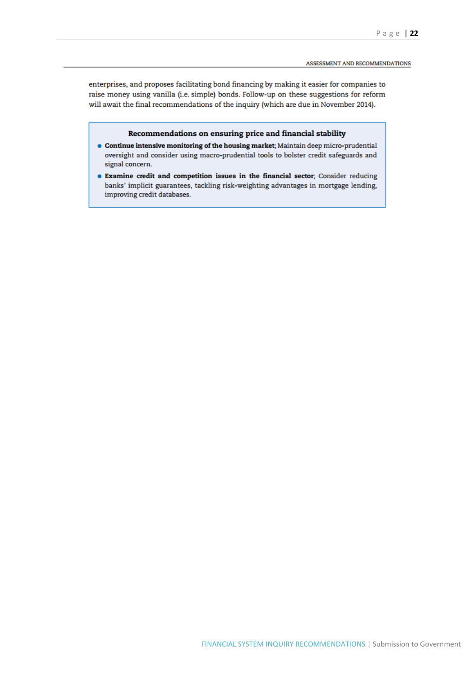enterprises, and proposes facilitating bond financing by making it easier for companies to raise money using vanilla (i.e. simple) bonds. Follow-up on these suggestions for reform will await the final recommendations of the inquiry (which are due in November 2014).

#### Recommendations on ensuring price and financial stability

- Continue intensive monitoring of the housing market; Maintain deep micro-prudential oversight and consider using macro-prudential tools to bolster credit safeguards and signal concern.
- Examine credit and competition issues in the financial sector; Consider reducing banks' implicit guarantees, tackling risk-weighting advantages in mortgage lending, improving credit databases.